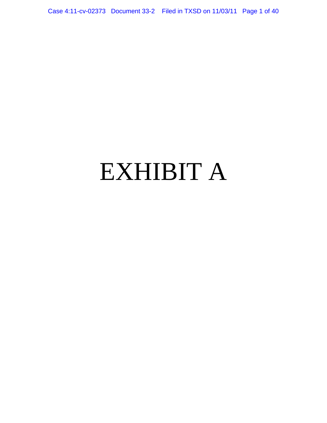Case 4:11-cv-02373 Document 33-2 Filed in TXSD on 11/03/11 Page 1 of 40

# EXHIBIT A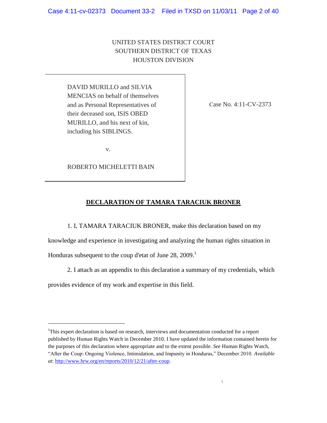# UNITED STATES DISTRICT COURT SOUTHERN DISTRICT OF TEXAS HOUSTON DIVISION

DAVID MURILLO and SILVIA MENCIAS on behalf of themselves and as Personal Representatives of their deceased son, ISIS OBED MURILLO, and his next of kin, including his SIBLINGS.

v.

ROBERTO MICHELETTI BAIN

Case No. 4:11-CV-2373

# **DECLARATION OF TAMARA TARACIUK BRONER**

1. I, TAMARA TARACIUK BRONER, make this declaration based on my

knowledge and experience in investigating and analyzing the human rights situation in Honduras subsequent to the coup d'etat of June 28, 2009.<sup>1</sup>

2. I attach as an appendix to this declaration a summary of my credentials, which

provides evidence of my work and expertise in this field.

<sup>&</sup>lt;sup>1</sup>This expert declaration is based on research, interviews and documentation conducted for a report published by Human Rights Watch in December 2010. I have updated the information contained herein for the purposes of this declaration where appropriate and to the extent possible. *See* Human Rights Watch, ―After the Coup: Ongoing Violence, Intimidation, and Impunity in Honduras,‖ December 2010. *Available at*: [http://www.hrw.org/en/reports/2010/12/21/after-coup.](http://www.hrw.org/en/reports/2010/12/21/after-coup)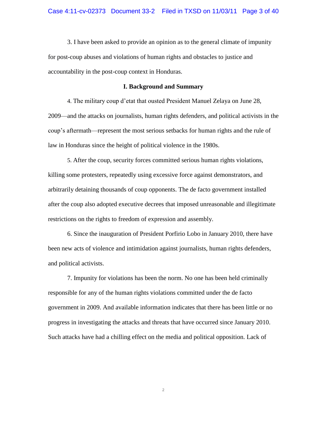3. I have been asked to provide an opinion as to the general climate of impunity for post-coup abuses and violations of human rights and obstacles to justice and accountability in the post-coup context in Honduras.

#### **I. Background and Summary**

4. The military coup d'etat that ousted President Manuel Zelaya on June 28, 2009—and the attacks on journalists, human rights defenders, and political activists in the coup's aftermath—represent the most serious setbacks for human rights and the rule of law in Honduras since the height of political violence in the 1980s.

5. After the coup, security forces committed serious human rights violations, killing some protesters, repeatedly using excessive force against demonstrators, and arbitrarily detaining thousands of coup opponents. The de facto government installed after the coup also adopted executive decrees that imposed unreasonable and illegitimate restrictions on the rights to freedom of expression and assembly.

6. Since the inauguration of President Porfirio Lobo in January 2010, there have been new acts of violence and intimidation against journalists, human rights defenders, and political activists.

7. Impunity for violations has been the norm. No one has been held criminally responsible for any of the human rights violations committed under the de facto government in 2009. And available information indicates that there has been little or no progress in investigating the attacks and threats that have occurred since January 2010. Such attacks have had a chilling effect on the media and political opposition. Lack of

2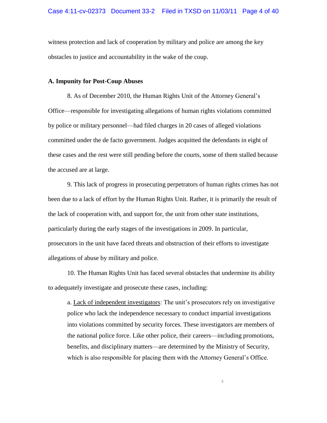witness protection and lack of cooperation by military and police are among the key obstacles to justice and accountability in the wake of the coup.

#### **A. Impunity for Post-Coup Abuses**

8. As of December 2010, the Human Rights Unit of the Attorney General's Office—responsible for investigating allegations of human rights violations committed by police or military personnel—had filed charges in 20 cases of alleged violations committed under the de facto government. Judges acquitted the defendants in eight of these cases and the rest were still pending before the courts, some of them stalled because the accused are at large.

9. This lack of progress in prosecuting perpetrators of human rights crimes has not been due to a lack of effort by the Human Rights Unit. Rather, it is primarily the result of the lack of cooperation with, and support for, the unit from other state institutions, particularly during the early stages of the investigations in 2009. In particular, prosecutors in the unit have faced threats and obstruction of their efforts to investigate allegations of abuse by military and police.

10. The Human Rights Unit has faced several obstacles that undermine its ability to adequately investigate and prosecute these cases, including:

a. Lack of independent investigators: The unit's prosecutors rely on investigative police who lack the independence necessary to conduct impartial investigations into violations committed by security forces. These investigators are members of the national police force. Like other police, their careers—including promotions, benefits, and disciplinary matters—are determined by the Ministry of Security, which is also responsible for placing them with the Attorney General's Office.

3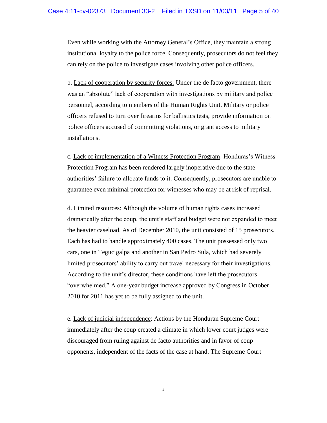Even while working with the Attorney General's Office, they maintain a strong institutional loyalty to the police force. Consequently, prosecutors do not feel they can rely on the police to investigate cases involving other police officers.

b. Lack of cooperation by security forces: Under the de facto government, there was an "absolute" lack of cooperation with investigations by military and police personnel, according to members of the Human Rights Unit. Military or police officers refused to turn over firearms for ballistics tests, provide information on police officers accused of committing violations, or grant access to military installations.

c. Lack of implementation of a Witness Protection Program: Honduras's Witness Protection Program has been rendered largely inoperative due to the state authorities' failure to allocate funds to it. Consequently, prosecutors are unable to guarantee even minimal protection for witnesses who may be at risk of reprisal.

d. Limited resources: Although the volume of human rights cases increased dramatically after the coup, the unit's staff and budget were not expanded to meet the heavier caseload. As of December 2010, the unit consisted of 15 prosecutors. Each has had to handle approximately 400 cases. The unit possessed only two cars, one in Tegucigalpa and another in San Pedro Sula, which had severely limited prosecutors' ability to carry out travel necessary for their investigations. According to the unit's director, these conditions have left the prosecutors "overwhelmed." A one-year budget increase approved by Congress in October 2010 for 2011 has yet to be fully assigned to the unit.

e. Lack of judicial independence: Actions by the Honduran Supreme Court immediately after the coup created a climate in which lower court judges were discouraged from ruling against de facto authorities and in favor of coup opponents, independent of the facts of the case at hand. The Supreme Court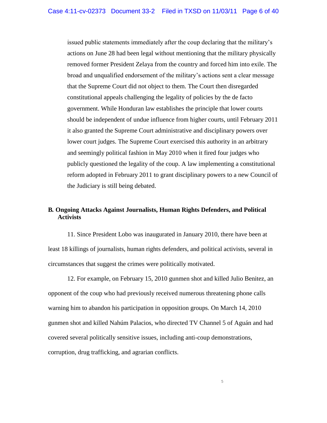issued public statements immediately after the coup declaring that the military's actions on June 28 had been legal without mentioning that the military physically removed former President Zelaya from the country and forced him into exile. The broad and unqualified endorsement of the military's actions sent a clear message that the Supreme Court did not object to them. The Court then disregarded constitutional appeals challenging the legality of policies by the de facto government. While Honduran law establishes the principle that lower courts should be independent of undue influence from higher courts, until February 2011 it also granted the Supreme Court administrative and disciplinary powers over lower court judges. The Supreme Court exercised this authority in an arbitrary and seemingly political fashion in May 2010 when it fired four judges who publicly questioned the legality of the coup. A law implementing a constitutional reform adopted in February 2011 to grant disciplinary powers to a new Council of the Judiciary is still being debated.

# **B***.* **Ongoing Attacks Against Journalists, Human Rights Defenders, and Political Activists**

11. Since President Lobo was inaugurated in January 2010, there have been at least 18 killings of journalists, human rights defenders, and political activists, several in circumstances that suggest the crimes were politically motivated.

12. For example, on February 15, 2010 gunmen shot and killed Julio Benitez, an opponent of the coup who had previously received numerous threatening phone calls warning him to abandon his participation in opposition groups. On March 14, 2010 gunmen shot and killed Nahúm Palacios, who directed TV Channel 5 of Aguán and had covered several politically sensitive issues, including anti-coup demonstrations, corruption, drug trafficking, and agrarian conflicts.

5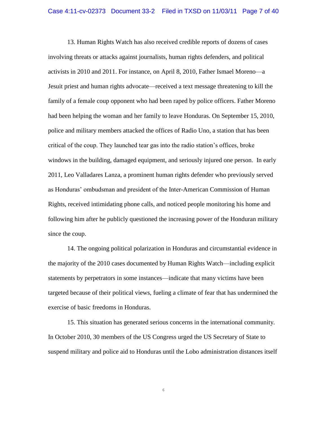13. Human Rights Watch has also received credible reports of dozens of cases involving threats or attacks against journalists, human rights defenders, and political activists in 2010 and 2011. For instance, on April 8, 2010, Father Ismael Moreno—a Jesuit priest and human rights advocate—received a text message threatening to kill the family of a female coup opponent who had been raped by police officers. Father Moreno had been helping the woman and her family to leave Honduras. On September 15, 2010, police and military members attacked the offices of Radio Uno, a station that has been critical of the coup. They launched tear gas into the radio station's offices, broke windows in the building, damaged equipment, and seriously injured one person. In early 2011, Leo Valladares Lanza, a prominent human rights defender who previously served as Honduras' ombudsman and president of the Inter-American Commission of Human Rights, received intimidating phone calls, and noticed people monitoring his home and following him after he publicly questioned the increasing power of the Honduran military since the coup.

14. The ongoing political polarization in Honduras and circumstantial evidence in the majority of the 2010 cases documented by Human Rights Watch—including explicit statements by perpetrators in some instances—indicate that many victims have been targeted because of their political views, fueling a climate of fear that has undermined the exercise of basic freedoms in Honduras.

15. This situation has generated serious concerns in the international community. In October 2010, 30 members of the US Congress urged the US Secretary of State to suspend military and police aid to Honduras until the Lobo administration distances itself

6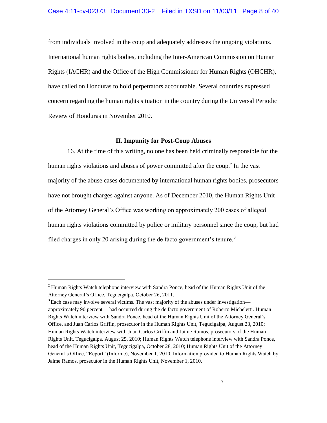#### Case 4:11-cv-02373 Document 33-2 Filed in TXSD on 11/03/11 Page 8 of 40

from individuals involved in the coup and adequately addresses the ongoing violations. International human rights bodies, including the Inter-American Commission on Human Rights (IACHR) and the Office of the High Commissioner for Human Rights (OHCHR), have called on Honduras to hold perpetrators accountable. Several countries expressed concern regarding the human rights situation in the country during the Universal Periodic Review of Honduras in November 2010.

## **II. Impunity for Post-Coup Abuses**

16. At the time of this writing, no one has been held criminally responsible for the human rights violations and abuses of power committed after the coup.<sup>2</sup> In the vast majority of the abuse cases documented by international human rights bodies, prosecutors have not brought charges against anyone. As of December 2010, the Human Rights Unit of the Attorney General's Office was working on approximately 200 cases of alleged human rights violations committed by police or military personnel since the coup, but had filed charges in only 20 arising during the de facto government's tenure.<sup>3</sup>

 $2$  Human Rights Watch telephone interview with Sandra Ponce, head of the Human Rights Unit of the Attorney General's Office, Tegucigalpa, October 26, 2011.

 $3$  Each case may involve several victims. The vast majority of the abuses under investigation approximately 90 percent— had occurred during the de facto government of Roberto Micheletti. Human Rights Watch interview with Sandra Ponce, head of the Human Rights Unit of the Attorney General's Office, and Juan Carlos Griffin, prosecutor in the Human Rights Unit, Tegucigalpa, August 23, 2010; Human Rights Watch interview with Juan Carlos Griffin and Jaime Ramos, prosecutors of the Human Rights Unit, Tegucigalpa, August 25, 2010; Human Rights Watch telephone interview with Sandra Ponce, head of the Human Rights Unit, Tegucigalpa, October 28, 2010; Human Rights Unit of the Attorney General's Office, "Report" (Informe), November 1, 2010. Information provided to Human Rights Watch by Jaime Ramos, prosecutor in the Human Rights Unit, November 1, 2010.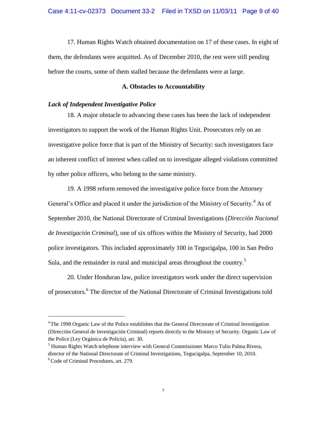17. Human Rights Watch obtained documentation on 17 of these cases. In eight of them, the defendants were acquitted. As of December 2010, the rest were still pending before the courts, some of them stalled because the defendants were at large.

#### **A. Obstacles to Accountability**

# *Lack of Independent Investigative Police*

L,

18. A major obstacle to advancing these cases has been the lack of independent investigators to support the work of the Human Rights Unit. Prosecutors rely on an investigative police force that is part of the Ministry of Security: such investigators face an inherent conflict of interest when called on to investigate alleged violations committed by other police officers, who belong to the same ministry.

19. A 1998 reform removed the investigative police force from the Attorney General's Office and placed it under the jurisdiction of the Ministry of Security.<sup>4</sup> As of September 2010, the National Directorate of Criminal Investigations (*Dirección Nacional de Investigación Criminal*), one of six offices within the Ministry of Security, had 2000 police investigators. This included approximately 100 in Tegucigalpa, 100 in San Pedro Sula, and the remainder in rural and municipal areas throughout the country.<sup>5</sup>

20. Under Honduran law, police investigators work under the direct supervision of prosecutors.<sup>6</sup> The director of the National Directorate of Criminal Investigations told

<sup>&</sup>lt;sup>4</sup> The 1998 Organic Law of the Police establishes that the General Directorate of Criminal Investigation (Dirección General de Investigación Criminal) reports directly to the Ministry of Security. Organic Law of the Police (Ley Orgánica de Policía), art. 30.

<sup>&</sup>lt;sup>5</sup> Human Rights Watch telephone interview with General Commissioner Marco Tulio Palma Rivera, director of the National Directorate of Criminal Investigations, Tegucigalpa, September 10, 2010. <sup>6</sup> Code of Criminal Procedures, art. 279.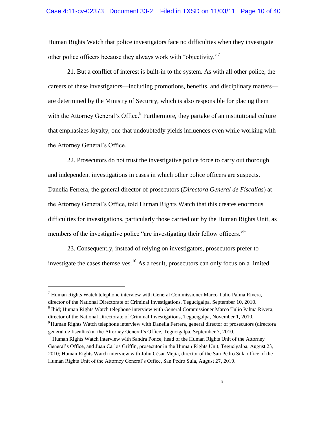Human Rights Watch that police investigators face no difficulties when they investigate other police officers because they always work with "objectivity."<sup>7</sup>

21. But a conflict of interest is built-in to the system. As with all other police, the careers of these investigators—including promotions, benefits, and disciplinary matters are determined by the Ministry of Security, which is also responsible for placing them with the Attorney General's Office.<sup>8</sup> Furthermore, they partake of an institutional culture that emphasizes loyalty, one that undoubtedly yields influences even while working with the Attorney General's Office.

22. Prosecutors do not trust the investigative police force to carry out thorough and independent investigations in cases in which other police officers are suspects. Danelia Ferrera, the general director of prosecutors (*Directora General de Fiscalías*) at the Attorney General's Office, told Human Rights Watch that this creates enormous difficulties for investigations, particularly those carried out by the Human Rights Unit, as members of the investigative police "are investigating their fellow officers."<sup>9</sup>

23. Consequently, instead of relying on investigators, prosecutors prefer to investigate the cases themselves.<sup>10</sup> As a result, prosecutors can only focus on a limited

 $<sup>7</sup>$  Human Rights Watch telephone interview with General Commissioner Marco Tulio Palma Rivera,</sup> director of the National Directorate of Criminal Investigations, Tegucigalpa, September 10, 2010.

<sup>&</sup>lt;sup>8</sup> Ibid; Human Rights Watch telephone interview with General Commissioner Marco Tulio Palma Rivera, director of the National Directorate of Criminal Investigations, Tegucigalpa, November 1, 2010.

<sup>9</sup> Human Rights Watch telephone interview with Danelia Ferrera, general director of prosecutors (directora general de fiscalías) at the Attorney General's Office, Tegucigalpa, September 7, 2010.

<sup>&</sup>lt;sup>10</sup> Human Rights Watch interview with Sandra Ponce, head of the Human Rights Unit of the Attorney General's Office, and Juan Carlos Griffin, prosecutor in the Human Rights Unit, Tegucigalpa, August 23, 2010; Human Rights Watch interview with John César Mejía, director of the San Pedro Sula office of the Human Rights Unit of the Attorney General's Office, San Pedro Sula, August 27, 2010.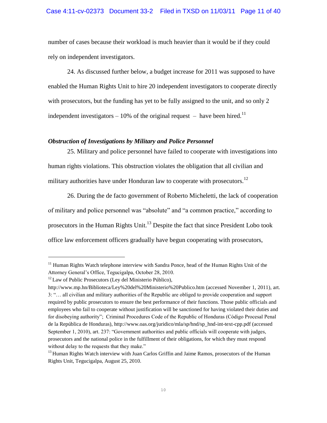### Case 4:11-cv-02373 Document 33-2 Filed in TXSD on 11/03/11 Page 11 of 40

number of cases because their workload is much heavier than it would be if they could rely on independent investigators.

24. As discussed further below, a budget increase for 2011 was supposed to have enabled the Human Rights Unit to hire 20 independent investigators to cooperate directly with prosecutors, but the funding has yet to be fully assigned to the unit, and so only 2 independent investigators – 10% of the original request – have been hired.<sup>11</sup>

#### *Obstruction of Investigations by Military and Police Personnel*

25. Military and police personnel have failed to cooperate with investigations into human rights violations. This obstruction violates the obligation that all civilian and military authorities have under Honduran law to cooperate with prosecutors.<sup>12</sup>

26. During the de facto government of Roberto Micheletti, the lack of cooperation of military and police personnel was "absolute" and "a common practice," according to prosecutors in the Human Rights Unit.<sup>13</sup> Despite the fact that since President Lobo took office law enforcement officers gradually have begun cooperating with prosecutors,

<sup>&</sup>lt;sup>11</sup> Human Rights Watch telephone interview with Sandra Ponce, head of the Human Rights Unit of the Attorney General's Office, Tegucigalpa, October 28, 2010.

 $12$  Law of Public Prosecutors (Ley del Ministerio Público),

<http://www.mp.hn/Biblioteca/Ley%20del%20Ministerio%20Publico.htm> (accessed November 1, 2011), art. 3: ―… all civilian and military authorities of the Republic are obliged to provide cooperation and support required by public prosecutors to ensure the best performance of their functions. Those public officials and employees who fail to cooperate without justification will be sanctioned for having violated their duties and for disobeying authority"; Criminal Procedures Code of the Republic of Honduras (Código Procesal Penal de la República de Honduras), http://www.oas.org/juridico/mla/sp/hnd/sp\_hnd-int-text-cpp.pdf (accessed September 1, 2010), art. 237: "Government authorities and public officials will cooperate with judges, prosecutors and the national police in the fulfillment of their obligations, for which they must respond without delay to the requests that they make."

<sup>&</sup>lt;sup>13</sup> Human Rights Watch interview with Juan Carlos Griffin and Jaime Ramos, prosecutors of the Human Rights Unit, Tegucigalpa, August 25, 2010.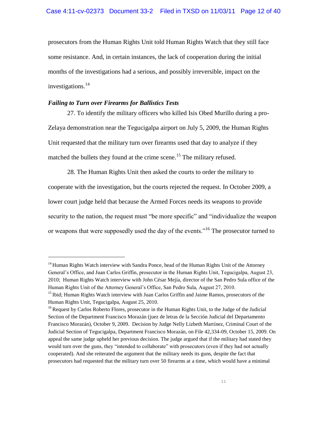prosecutors from the Human Rights Unit told Human Rights Watch that they still face some resistance. And, in certain instances, the lack of cooperation during the initial months of the investigations had a serious, and possibly irreversible, impact on the investigations.<sup>14</sup>

# *Failing to Turn over Firearms for Ballistics Tests*

L,

27. To identify the military officers who killed Isis Obed Murillo during a pro-Zelaya demonstration near the Tegucigalpa airport on July 5, 2009, the Human Rights Unit requested that the military turn over firearms used that day to analyze if they matched the bullets they found at the crime scene.<sup>15</sup> The military refused.

28. The Human Rights Unit then asked the courts to order the military to cooperate with the investigation, but the courts rejected the request. In October 2009, a lower court judge held that because the Armed Forces needs its weapons to provide security to the nation, the request must "be more specific" and "individualize the weapon or weapons that were supposedly used the day of the events."<sup>16</sup> The prosecutor turned to

<sup>&</sup>lt;sup>14</sup> Human Rights Watch interview with Sandra Ponce, head of the Human Rights Unit of the Attorney General's Office, and Juan Carlos Griffin, prosecutor in the Human Rights Unit, Tegucigalpa, August 23, 2010; Human Rights Watch interview with John César Mejía, director of the San Pedro Sula office of the Human Rights Unit of the Attorney General's Office, San Pedro Sula, August 27, 2010.

<sup>&</sup>lt;sup>15</sup> Ibid; Human Rights Watch interview with Juan Carlos Griffin and Jaime Ramos, prosecutors of the Human Rights Unit, Tegucigalpa, August 25, 2010.

<sup>&</sup>lt;sup>16</sup> Request by Carlos Roberto Flores, prosecutor in the Human Rights Unit, to the Judge of the Judicial Section of the Department Francisco Morazán (juez de letras de la Sección Judicial del Departamento Francisco Morazán), October 9, 2009. Decision by Judge Nelly Lizbeth Martínez, Criminal Court of the Judicial Section of Tegucigalpa, Department Francisco Morazán, on File 42,334-09, October 15, 2009. On appeal the same judge upheld her previous decision. The judge argued that if the military had stated they would turn over the guns, they "intended to collaborate" with prosecutors (even if they had not actually cooperated). And she reiterated the argument that the military needs its guns, despite the fact that prosecutors had requested that the military turn over 50 firearms at a time, which would have a minimal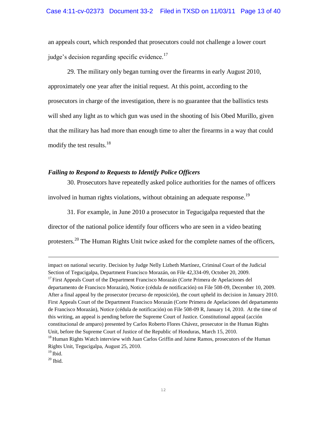#### Case 4:11-cv-02373 Document 33-2 Filed in TXSD on 11/03/11 Page 13 of 40

an appeals court, which responded that prosecutors could not challenge a lower court judge's decision regarding specific evidence. $17$ 

29. The military only began turning over the firearms in early August 2010, approximately one year after the initial request. At this point, according to the prosecutors in charge of the investigation, there is no guarantee that the ballistics tests will shed any light as to which gun was used in the shooting of Isis Obed Murillo, given that the military has had more than enough time to alter the firearms in a way that could modify the test results. $18$ 

# *Failing to Respond to Requests to Identify Police Officers*

30. Prosecutors have repeatedly asked police authorities for the names of officers involved in human rights violations, without obtaining an adequate response.<sup>19</sup>

31. For example, in June 2010 a prosecutor in Tegucigalpa requested that the director of the national police identify four officers who are seen in a video beating protesters.<sup>20</sup> The Human Rights Unit twice asked for the complete names of the officers,

 $19$  Ibid.

impact on national security. Decision by Judge Nelly Lizbeth Martínez, Criminal Court of the Judicial Section of Tegucigalpa, Department Francisco Morazán, on File 42,334-09, October 20, 2009.  $17$  First Appeals Court of the Department Francisco Morazán (Corte Primera de Apelaciones del departamento de Francisco Morazán), Notice (cédula de notificación) on File 508-09, December 10, 2009. After a final appeal by the prosecutor (recurso de reposición), the court upheld its decision in January 2010. First Appeals Court of the Department Francisco Morazán (Corte Primera de Apelaciones del departamento de Francisco Morazán), Notice (cédula de notificación) on File 508-09 R, January 14, 2010. At the time of this writing, an appeal is pending before the Supreme Court of Justice. Constitutional appeal (acción constitucional de amparo) presented by Carlos Roberto Flores Chávez, prosecutor in the Human Rights Unit, before the Supreme Court of Justice of the Republic of Honduras, March 15, 2010.

<sup>&</sup>lt;sup>18</sup> Human Rights Watch interview with Juan Carlos Griffin and Jaime Ramos, prosecutors of the Human Rights Unit, Tegucigalpa, August 25, 2010.

 $20$  Ibid.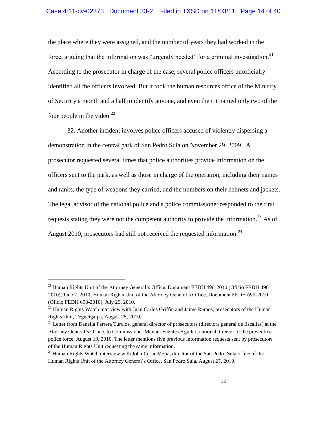the place where they were assigned, and the number of years they had worked in the force, arguing that the information was "urgently needed" for a criminal investigation.<sup>21</sup> According to the prosecutor in charge of the case, several police officers unofficially identified all the officers involved. But it took the human resources office of the Ministry of Security a month and a half to identify anyone, and even then it named only two of the four people in the video. $^{22}$ 

32. Another incident involves police officers accused of violently dispersing a demonstration in the central park of San Pedro Sula on November 29, 2009. A prosecutor requested several times that police authorities provide information on the officers sent to the park, as well as those in charge of the operation, including their names and ranks, the type of weapons they carried, and the numbers on their helmets and jackets. The legal advisor of the national police and a police commissioner responded to the first requests stating they were not the competent authority to provide the information.<sup>23</sup> As of August 2010, prosecutors had still not received the requested information.<sup>24</sup>

<sup>&</sup>lt;sup>21</sup> Human Rights Unit of the Attorney General's Office, Document FEDH 496-2010 (Oficio FEDH 496-2010), June 2, 2010; Human Rights Unit of the Attorney General's Office, Document FEDH 698-2010 (Oficio FEDH 698-2010), July 29, 2010.

 $^{22}$  Human Rights Watch interview with Juan Carlos Griffin and Jaime Ramos, prosecutors of the Human Rights Unit, Tegucigalpa, August 25, 2010.

<sup>&</sup>lt;sup>23</sup> Letter from Danelia Ferrera Turcios, general director of prosecutors (directora general de fiscalías) at the Attorney General's Office, to Commissioner Manuel Fuentes Aguilar, national director of the preventive police force, August 19, 2010. The letter mentions five previous information requests sent by prosecutors of the Human Rights Unit requesting the same information.

 $24$  Human Rights Watch interview with John César Mejía, director of the San Pedro Sula office of the Human Rights Unit of the Attorney General's Office, San Pedro Sula, August 27, 2010.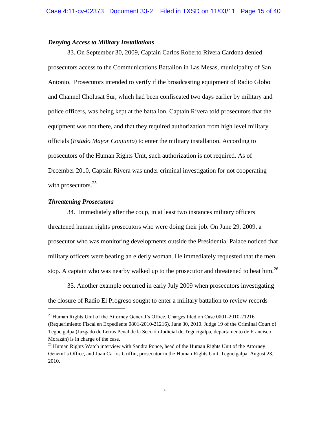#### *Denying Access to Military Installations*

33. On September 30, 2009, Captain Carlos Roberto Rivera Cardona denied prosecutors access to the Communications Battalion in Las Mesas, municipality of San Antonio. Prosecutors intended to verify if the broadcasting equipment of Radio Globo and Channel Cholusat Sur, which had been confiscated two days earlier by military and police officers, was being kept at the battalion. Captain Rivera told prosecutors that the equipment was not there, and that they required authorization from high level military officials (*Estado Mayor Conjunto*) to enter the military installation. According to prosecutors of the Human Rights Unit, such authorization is not required. As of December 2010, Captain Rivera was under criminal investigation for not cooperating with prosecutors.<sup>25</sup>

#### *Threatening Prosecutors*

Ļ

34. Immediately after the coup, in at least two instances military officers threatened human rights prosecutors who were doing their job. On June 29, 2009, a prosecutor who was monitoring developments outside the Presidential Palace noticed that military officers were beating an elderly woman. He immediately requested that the men stop. A captain who was nearby walked up to the prosecutor and threatened to beat him.<sup>26</sup>

35. Another example occurred in early July 2009 when prosecutors investigating the closure of Radio El Progreso sought to enter a military battalion to review records

<sup>&</sup>lt;sup>25</sup> Human Rights Unit of the Attorney General's Office, Charges filed on Case 0801-2010-21216 (Requerimiento Fiscal en Expediente 0801-2010-21216), June 30, 2010. Judge 19 of the Criminal Court of Tegucigalpa (Juzgado de Letras Penal de la Sección Judicial de Tegucigalpa, departamento de Francisco Morazán) is in charge of the case.

<sup>&</sup>lt;sup>26</sup> Human Rights Watch interview with Sandra Ponce, head of the Human Rights Unit of the Attorney General's Office, and Juan Carlos Griffin, prosecutor in the Human Rights Unit, Tegucigalpa, August 23, 2010.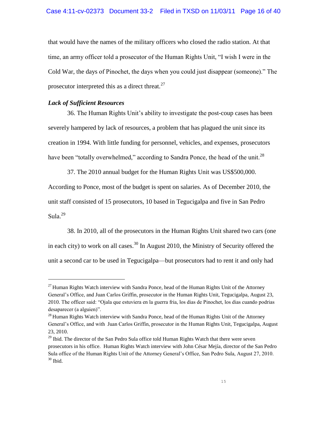#### Case 4:11-cv-02373 Document 33-2 Filed in TXSD on 11/03/11 Page 16 of 40

that would have the names of the military officers who closed the radio station. At that time, an army officer told a prosecutor of the Human Rights Unit, "I wish I were in the Cold War, the days of Pinochet, the days when you could just disappear (someone)." The prosecutor interpreted this as a direct threat. $27$ 

# *Lack of Sufficient Resources*

L,

36. The Human Rights Unit's ability to investigate the post-coup cases has been severely hampered by lack of resources, a problem that has plagued the unit since its creation in 1994. With little funding for personnel, vehicles, and expenses, prosecutors have been "totally overwhelmed," according to Sandra Ponce, the head of the unit.<sup>28</sup>

37. The 2010 annual budget for the Human Rights Unit was US\$500,000. According to Ponce, most of the budget is spent on salaries. As of December 2010, the unit staff consisted of 15 prosecutors, 10 based in Tegucigalpa and five in San Pedro Sula. $^{29}$ 

38. In 2010, all of the prosecutors in the Human Rights Unit shared two cars (one in each city) to work on all cases.<sup>30</sup> In August 2010, the Ministry of Security offered the unit a second car to be used in Tegucigalpa—but prosecutors had to rent it and only had

 $27$  Human Rights Watch interview with Sandra Ponce, head of the Human Rights Unit of the Attorney General's Office, and Juan Carlos Griffin, prosecutor in the Human Rights Unit, Tegucigalpa, August 23, 2010. The officer said: ―Ojala que estuviera en la guerra fria, los dias de Pinochet, los dias cuando podrias desaparecer (a alguien)".

 $^{28}$  Human Rights Watch interview with Sandra Ponce, head of the Human Rights Unit of the Attorney General's Office, and with Juan Carlos Griffin, prosecutor in the Human Rights Unit, Tegucigalpa, August 23, 2010.

 $29$  Ibid. The director of the San Pedro Sula office told Human Rights Watch that there were seven prosecutors in his office. Human Rights Watch interview with John César Mejía, director of the San Pedro Sula office of the Human Rights Unit of the Attorney General's Office, San Pedro Sula, August 27, 2010.  $30$  Ibid.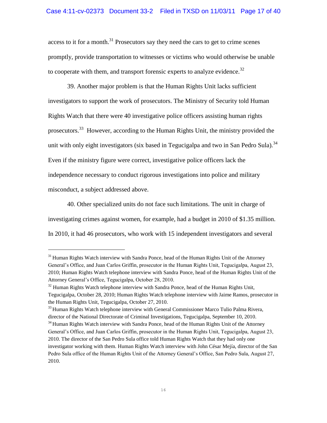access to it for a month.<sup>31</sup> Prosecutors say they need the cars to get to crime scenes promptly, provide transportation to witnesses or victims who would otherwise be unable to cooperate with them, and transport forensic experts to analyze evidence.<sup>32</sup>

39. Another major problem is that the Human Rights Unit lacks sufficient investigators to support the work of prosecutors. The Ministry of Security told Human Rights Watch that there were 40 investigative police officers assisting human rights prosecutors.<sup>33</sup> However, according to the Human Rights Unit, the ministry provided the unit with only eight investigators (six based in Tegucigalpa and two in San Pedro Sula).<sup>34</sup> Even if the ministry figure were correct, investigative police officers lack the independence necessary to conduct rigorous investigations into police and military misconduct, a subject addressed above.

40. Other specialized units do not face such limitations. The unit in charge of investigating crimes against women, for example, had a budget in 2010 of \$1.35 million. In 2010, it had 46 prosecutors, who work with 15 independent investigators and several

 $31$  Human Rights Watch interview with Sandra Ponce, head of the Human Rights Unit of the Attorney General's Office, and Juan Carlos Griffin, prosecutor in the Human Rights Unit, Tegucigalpa, August 23, 2010; Human Rights Watch telephone interview with Sandra Ponce, head of the Human Rights Unit of the Attorney General's Office, Tegucigalpa, October 28, 2010.

 $32$  Human Rights Watch telephone interview with Sandra Ponce, head of the Human Rights Unit, Tegucigalpa, October 28, 2010; Human Rights Watch telephone interview with Jaime Ramos, prosecutor in the Human Rights Unit, Tegucigalpa, October 27, 2010.

<sup>&</sup>lt;sup>33</sup> Human Rights Watch telephone interview with General Commissioner Marco Tulio Palma Rivera, director of the National Directorate of Criminal Investigations, Tegucigalpa, September 10, 2010.

<sup>&</sup>lt;sup>34</sup> Human Rights Watch interview with Sandra Ponce, head of the Human Rights Unit of the Attorney General's Office, and Juan Carlos Griffin, prosecutor in the Human Rights Unit, Tegucigalpa, August 23, 2010. The director of the San Pedro Sula office told Human Rights Watch that they had only one investigator working with them. Human Rights Watch interview with John César Mejía, director of the San Pedro Sula office of the Human Rights Unit of the Attorney General's Office, San Pedro Sula, August 27, 2010.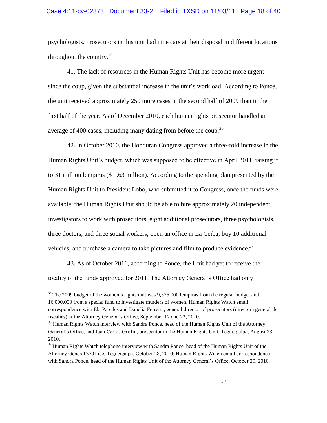#### Case 4:11-cv-02373 Document 33-2 Filed in TXSD on 11/03/11 Page 18 of 40

psychologists. Prosecutors in this unit had nine cars at their disposal in different locations throughout the country. $35$ 

41. The lack of resources in the Human Rights Unit has become more urgent since the coup, given the substantial increase in the unit's workload. According to Ponce, the unit received approximately 250 more cases in the second half of 2009 than in the first half of the year. As of December 2010, each human rights prosecutor handled an average of 400 cases, including many dating from before the coup.<sup>36</sup>

42. In October 2010, the Honduran Congress approved a three-fold increase in the Human Rights Unit's budget, which was supposed to be effective in April 2011, raising it to 31 million lempiras (\$ 1.63 million). According to the spending plan presented by the Human Rights Unit to President Lobo, who submitted it to Congress, once the funds were available, the Human Rights Unit should be able to hire approximately 20 independent investigators to work with prosecutors, eight additional prosecutors, three psychologists, three doctors, and three social workers; open an office in La Ceiba; buy 10 additional vehicles; and purchase a camera to take pictures and film to produce evidence.<sup>37</sup>

43. As of October 2011, according to Ponce, the Unit had yet to receive the totality of the funds approved for 2011. The Attorney General's Office had only

 $35$  The 2009 budget of the women's rights unit was 9.575,000 lempiras from the regular budget and 16,000,000 from a special fund to investigate murders of women. Human Rights Watch email correspondence with Ela Paredes and Danelia Ferreira, general director of prosecutors (directora general de fiscalías) at the Attorney General's Office, September 17 and 22, 2010.

<sup>&</sup>lt;sup>36</sup> Human Rights Watch interview with Sandra Ponce, head of the Human Rights Unit of the Attorney General's Office, and Juan Carlos Griffin, prosecutor in the Human Rights Unit, Tegucigalpa, August 23, 2010.

<sup>&</sup>lt;sup>37</sup> Human Rights Watch telephone interview with Sandra Ponce, head of the Human Rights Unit of the Attorney General's Office, Tegucigalpa, October 28, 2010; Human Rights Watch email correspondence with Sandra Ponce, head of the Human Rights Unit of the Attorney General's Office, October 29, 2010.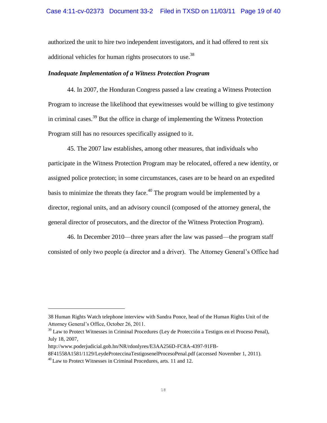#### Case 4:11-cv-02373 Document 33-2 Filed in TXSD on 11/03/11 Page 19 of 40

authorized the unit to hire two independent investigators, and it had offered to rent six additional vehicles for human rights prosecutors to use.<sup>38</sup>

#### *Inadequate Implementation of a Witness Protection Program*

44. In 2007, the Honduran Congress passed a law creating a Witness Protection Program to increase the likelihood that eyewitnesses would be willing to give testimony in criminal cases.<sup>39</sup> But the office in charge of implementing the Witness Protection Program still has no resources specifically assigned to it.

45. The 2007 law establishes, among other measures, that individuals who participate in the Witness Protection Program may be relocated, offered a new identity, or assigned police protection; in some circumstances, cases are to be heard on an expedited basis to minimize the threats they face.<sup>40</sup> The program would be implemented by a director, regional units, and an advisory council (composed of the attorney general, the general director of prosecutors, and the director of the Witness Protection Program).

46. In December 2010—three years after the law was passed—the program staff consisted of only two people (a director and a driver). The Attorney General's Office had

<sup>38</sup> Human Rights Watch telephone interview with Sandra Ponce, head of the Human Rights Unit of the Attorney General's Office, October 26, 2011.

 $39$  Law to Protect Witnesses in Criminal Procedures (Ley de Protección a Testigos en el Proceso Penal), July 18, 2007,

http://www.poderjudicial.gob.hn/NR/rdonlyres/E3AA256D-FC8A-4397-91FB-

<sup>8</sup>F41558A1581/1129/LeydeProteccinaTestigosenelProcesoPenal.pdf (accessed November 1, 2011).

 $^{40}$  Law to Protect Witnesses in Criminal Procedures, arts. 11 and 12.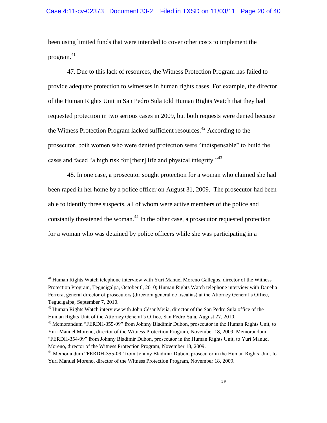been using limited funds that were intended to cover other costs to implement the program.<sup>41</sup>

47. Due to this lack of resources, the Witness Protection Program has failed to provide adequate protection to witnesses in human rights cases. For example, the director of the Human Rights Unit in San Pedro Sula told Human Rights Watch that they had requested protection in two serious cases in 2009, but both requests were denied because the Witness Protection Program lacked sufficient resources.<sup>42</sup> According to the prosecutor, both women who were denied protection were "indispensable" to build the cases and faced "a high risk for [their] life and physical integrity."<sup>43</sup>

48. In one case, a prosecutor sought protection for a woman who claimed she had been raped in her home by a police officer on August 31, 2009. The prosecutor had been able to identify three suspects, all of whom were active members of the police and constantly threatened the woman.<sup>44</sup> In the other case, a prosecutor requested protection for a woman who was detained by police officers while she was participating in a

 $41$  Human Rights Watch telephone interview with Yuri Manuel Moreno Gallegos, director of the Witness Protection Program, Tegucigalpa, October 6, 2010; Human Rights Watch telephone interview with Danelia Ferrera, general director of prosecutors (directora general de fiscalías) at the Attorney General's Office, Tegucigalpa, September 7, 2010.

 $42$  Human Rights Watch interview with John César Mejía, director of the San Pedro Sula office of the Human Rights Unit of the Attorney General's Office, San Pedro Sula, August 27, 2010.

<sup>&</sup>lt;sup>43</sup> Memorandum "FERDH-355-09" from Johnny Bladimir Dubon, prosecutor in the Human Rights Unit, to Yuri Manuel Moreno, director of the Witness Protection Program, November 18, 2009; Memorandum "FERDH-354-09" from Johnny Bladimir Dubon, prosecutor in the Human Rights Unit, to Yuri Manuel Moreno, director of the Witness Protection Program, November 18, 2009.

<sup>&</sup>lt;sup>44</sup> Memorandum "FERDH-355-09" from Johnny Bladimir Dubon, prosecutor in the Human Rights Unit, to Yuri Manuel Moreno, director of the Witness Protection Program, November 18, 2009.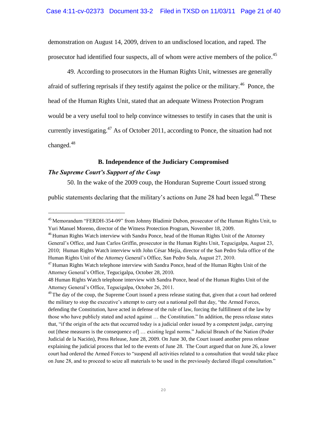demonstration on August 14, 2009, driven to an undisclosed location, and raped. The prosecutor had identified four suspects, all of whom were active members of the police.<sup>45</sup>

49. According to prosecutors in the Human Rights Unit, witnesses are generally afraid of suffering reprisals if they testify against the police or the military.<sup>46</sup> Ponce, the head of the Human Rights Unit, stated that an adequate Witness Protection Program would be a very useful tool to help convince witnesses to testify in cases that the unit is currently investigating.<sup>47</sup> As of October 2011, according to Ponce, the situation had not changed. $48$ 

# **B. Independence of the Judiciary Compromised** *The Supreme Court's Support of the Coup*

L,

50. In the wake of the 2009 coup, the Honduran Supreme Court issued strong

public statements declaring that the military's actions on June 28 had been legal.<sup>49</sup> These

<sup>&</sup>lt;sup>45</sup> Memorandum "FERDH-354-09" from Johnny Bladimir Dubon, prosecutor of the Human Rights Unit, to Yuri Manuel Moreno, director of the Witness Protection Program, November 18, 2009.

<sup>&</sup>lt;sup>46</sup> Human Rights Watch interview with Sandra Ponce, head of the Human Rights Unit of the Attorney General's Office, and Juan Carlos Griffin, prosecutor in the Human Rights Unit, Tegucigalpa, August 23, 2010; Human Rights Watch interview with John César Mejía, director of the San Pedro Sula office of the Human Rights Unit of the Attorney General's Office, San Pedro Sula, August 27, 2010.

<sup>&</sup>lt;sup>47</sup> Human Rights Watch telephone interview with Sandra Ponce, head of the Human Rights Unit of the Attorney General's Office, Tegucigalpa, October 28, 2010.

<sup>48</sup> Human Rights Watch telephone interview with Sandra Ponce, head of the Human Rights Unit of the Attorney General's Office, Tegucigalpa, October 26, 2011.

<sup>&</sup>lt;sup>49</sup> The day of the coup, the Supreme Court issued a press release stating that, given that a court had ordered the military to stop the executive's attempt to carry out a national poll that day, "the Armed Forces, defending the Constitution, have acted in defense of the rule of law, forcing the fulfillment of the law by those who have publicly stated and acted against ... the Constitution." In addition, the press release states that, "if the origin of the acts that occurred today is a judicial order issued by a competent judge, carrying out [these measures is the consequence of] … existing legal norms.‖ Judicial Branch of the Nation (Poder Judicial de la Nación), Press Release, June 28, 2009. On June 30, the Court issued another press release explaining the judicial process that led to the events of June 28. The Court argued that on June 26, a lower court had ordered the Armed Forces to "suspend all activities related to a consultation that would take place on June 28, and to proceed to seize all materials to be used in the previously declared illegal consultation."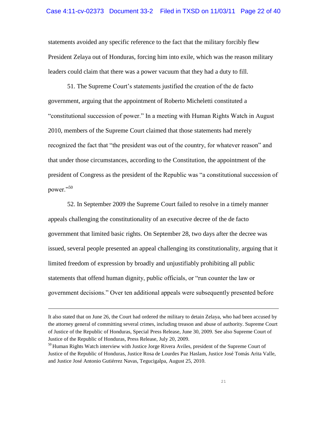statements avoided any specific reference to the fact that the military forcibly flew President Zelaya out of Honduras, forcing him into exile, which was the reason military leaders could claim that there was a power vacuum that they had a duty to fill.

51. The Supreme Court's statements justified the creation of the de facto government, arguing that the appointment of Roberto Micheletti constituted a ―constitutional succession of power.‖ In a meeting with Human Rights Watch in August 2010, members of the Supreme Court claimed that those statements had merely recognized the fact that "the president was out of the country, for whatever reason" and that under those circumstances, according to the Constitution, the appointment of the president of Congress as the president of the Republic was "a constitutional succession of power."50

52. In September 2009 the Supreme Court failed to resolve in a timely manner appeals challenging the constitutionality of an executive decree of the de facto government that limited basic rights. On September 28, two days after the decree was issued, several people presented an appeal challenging its constitutionality, arguing that it limited freedom of expression by broadly and unjustifiably prohibiting all public statements that offend human dignity, public officials, or "run counter the law or government decisions." Over ten additional appeals were subsequently presented before

It also stated that on June 26, the Court had ordered the military to detain Zelaya, who had been accused by the attorney general of committing several crimes, including treason and abuse of authority. Supreme Court of Justice of the Republic of Honduras, Special Press Release, June 30, 2009. See also Supreme Court of Justice of the Republic of Honduras, Press Release, July 20, 2009.

<sup>&</sup>lt;sup>50</sup> Human Rights Watch interview with Justice Jorge Rivera Aviles, president of the Supreme Court of Justice of the Republic of Honduras, Justice Rosa de Lourdes Paz Haslam, Justice José Tomás Arita Valle, and Justice José Antonio Gutiérrez Navas, Tegucigalpa, August 25, 2010.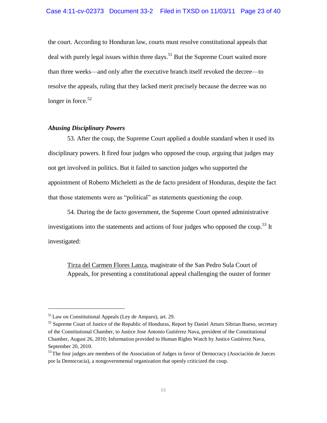the court. According to Honduran law, courts must resolve constitutional appeals that deal with purely legal issues within three days.<sup>51</sup> But the Supreme Court waited more than three weeks—and only after the executive branch itself revoked the decree—to resolve the appeals, ruling that they lacked merit precisely because the decree was no longer in force. $52$ 

# *Abusing Disciplinary Powers*

53. After the coup, the Supreme Court applied a double standard when it used its disciplinary powers. It fired four judges who opposed the coup, arguing that judges may not get involved in politics. But it failed to sanction judges who supported the appointment of Roberto Micheletti as the de facto president of Honduras, despite the fact that those statements were as "political" as statements questioning the coup.

54. During the de facto government, the Supreme Court opened administrative investigations into the statements and actions of four judges who opposed the coup.<sup>53</sup> It investigated:

Tirza del Carmen Flores Lanza, magistrate of the San Pedro Sula Court of Appeals, for presenting a constitutional appeal challenging the ouster of former

 $51$  Law on Constitutional Appeals (Ley de Amparo), art. 29.

<sup>&</sup>lt;sup>52</sup> Supreme Court of Justice of the Republic of Honduras, Report by Daniel Arturo Sibrian Bueso, secretary of the Constitutional Chamber, to Justice Jose Antonio Gutiérrez Nava, president of the Constitutional Chamber, August 26, 2010; Information provided to Human Rights Watch by Justice Gutiérrez Nava, September 20, 2010.

 $53$  The four judges are members of the Association of Judges in favor of Democracy (Asociación de Jueces por la Democracia), a nongovernmental organization that openly criticized the coup.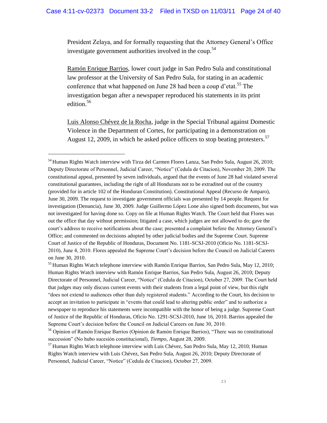President Zelaya, and for formally requesting that the Attorney General's Office investigate government authorities involved in the coup.<sup>54</sup>

Ramón Enrique Barrios, lower court judge in San Pedro Sula and constitutional law professor at the University of San Pedro Sula, for stating in an academic conference that what happened on June 28 had been a coup d'etat.<sup>55</sup> The investigation began after a newspaper reproduced his statements in its print edition.<sup>56</sup>

Luis Alonso Chévez de la Rocha, judge in the Special Tribunal against Domestic Violence in the Department of Cortes, for participating in a demonstration on August 12, 2009, in which he asked police officers to stop beating protesters.<sup>57</sup>

<sup>&</sup>lt;sup>54</sup> Human Rights Watch interview with Tirza del Carmen Flores Lanza, San Pedro Sula, August 26, 2010; Deputy Directorate of Personnel, Judicial Career, "Notice" (Cedula de Citacion), November 20, 2009. The constitutional appeal, presented by seven individuals, argued that the events of June 28 had violated several constitutional guarantees, including the right of all Hondurans not to be extradited out of the country (provided for in article 102 of the Honduran Constitution). Constitutional Appeal (Recurso de Amparo), June 30, 2009. The request to investigate government officials was presented by 14 people. Request for investigation (Denuncia), June 30, 2009. Judge Guillermo López Lone also signed both documents, but was not investigated for having done so. Copy on file at Human Rights Watch. The Court held that Flores was out the office that day without permission; litigated a case, which judges are not allowed to do; gave the court's address to receive notifications about the case; presented a complaint before the Attorney General's Office; and commented on decisions adopted by other judicial bodies and the Supreme Court. Supreme Court of Justice of the Republic of Honduras, Document No. 1181-SCSJ-2010 (Oficio No. 1181-SCSJ-2010), June 4, 2010. Flores appealed the Supreme Court's decision before the Council on Judicial Careers on June 30, 2010.

<sup>&</sup>lt;sup>55</sup> Human Rights Watch telephone interview with Ramón Enrique Barrios, San Pedro Sula, May 12, 2010; Human Rights Watch interview with Ramón Enrique Barrios, San Pedro Sula, August 26, 2010; Deputy Directorate of Personnel, Judicial Career, "Notice" (Cedula de Citacion), October 27, 2009. The Court held that judges may only discuss current events with their students from a legal point of view, but this right ―does not extend to audiences other than duly registered students.‖ According to the Court, his decision to accept an invitation to participate in "events that could lead to altering public order" and to authorize a newspaper to reproduce his statements were incompatible with the honor of being a judge. Supreme Court of Justice of the Republic of Honduras, Oficio No. 1291-SCSJ-2010, June 16, 2010. Barrios appealed the Supreme Court's decision before the Council on Judicial Careers on June 30, 2010.

<sup>&</sup>lt;sup>56</sup> Opinion of Ramón Enrique Barrios (Opinion de Ramón Enrique Barrios), "There was no constitutional succession" (No hubo sucesión constitucional), *Tiempo*, August 28, 2009.

 $57$  Human Rights Watch telephone interview with Luis Chévez, San Pedro Sula, May 12, 2010; Human Rights Watch interview with Luis Chévez, San Pedro Sula, August 26, 2010; Deputy Directorate of Personnel, Judicial Career, "Notice" (Cedula de Citacion), October 27, 2009.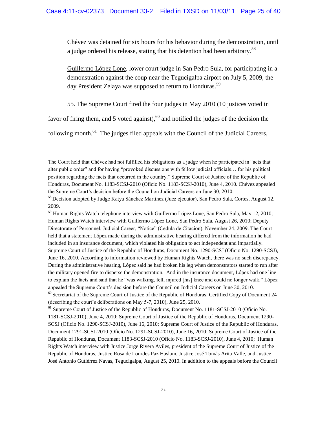Chévez was detained for six hours for his behavior during the demonstration, until a judge ordered his release, stating that his detention had been arbitrary.<sup>58</sup>

Guillermo López Lone, lower court judge in San Pedro Sula, for participating in a demonstration against the coup near the Tegucigalpa airport on July 5, 2009, the day President Zelaya was supposed to return to Honduras.<sup>59</sup>

55. The Supreme Court fired the four judges in May 2010 (10 justices voted in

favor of firing them, and 5 voted against),<sup>60</sup> and notified the judges of the decision the

following month.<sup>61</sup> The judges filed appeals with the Council of the Judicial Careers,

Ļ

<sup>59</sup> Human Rights Watch telephone interview with Guillermo López Lone, San Pedro Sula, May 12, 2010; Human Rights Watch interview with Guillermo López Lone, San Pedro Sula, August 26, 2010; Deputy Directorate of Personnel, Judicial Career, "Notice" (Cedula de Citacion), November 24, 2009. The Court held that a statement López made during the administrative hearing differed from the information he had included in an insurance document, which violated his obligation to act independent and impartially. Supreme Court of Justice of the Republic of Honduras, Document No. 1290-SCSJ (Oficio No. 1290-SCSJ), June 16, 2010. According to information reviewed by Human Rights Watch, there was no such discrepancy. During the administrative hearing, López said he had broken his leg when demonstrators started to run after the military opened fire to disperse the demonstration. And in the insurance document, López had one line to explain the facts and said that he "was walking, fell, injured [his] knee and could no longer walk." López appealed the Supreme Court's decision before the Council on Judicial Careers on June 30, 2010.

The Court held that Chévez had not fulfilled his obligations as a judge when he participated in "acts that alter public order" and for having "provoked discussions with fellow judicial officials... for his political position regarding the facts that occurred in the country." Supreme Court of Justice of the Republic of Honduras, Document No. 1183-SCSJ-2010 (Oficio No. 1183-SCSJ-2010), June 4, 2010. Chévez appealed the Supreme Court's decision before the Council on Judicial Careers on June 30, 2010.

<sup>58</sup> Decision adopted by Judge Katya Sánchez Martínez (Juez ejecutor), San Pedro Sula, Cortes, August 12, 2009.

<sup>&</sup>lt;sup>60</sup> Secretariat of the Supreme Court of Justice of the Republic of Honduras, Certified Copy of Document 24 (describing the court's deliberations on May 5-7, 2010), June 25, 2010.

<sup>&</sup>lt;sup>61</sup> Supreme Court of Justice of the Republic of Honduras, Document No. 1181-SCSJ-2010 (Oficio No. 1181-SCSJ-2010), June 4, 2010; Supreme Court of Justice of the Republic of Honduras, Document 1290- SCSJ (Oficio No. 1290-SCSJ-2010), June 16, 2010; Supreme Court of Justice of the Republic of Honduras, Document 1291-SCSJ-2010 (Oficio No. 1291-SCSJ-2010), June 16, 2010; Supreme Court of Justice of the Republic of Honduras, Document 1183-SCSJ-2010 (Oficio No. 1183-SCSJ-2010), June 4, 2010; Human Rights Watch interview with Justice Jorge Rivera Aviles, president of the Supreme Court of Justice of the Republic of Honduras, Justice Rosa de Lourdes Paz Haslam, Justice José Tomás Arita Valle, and Justice José Antonio Gutiérrez Navas, Tegucigalpa, August 25, 2010. In addition to the appeals before the Council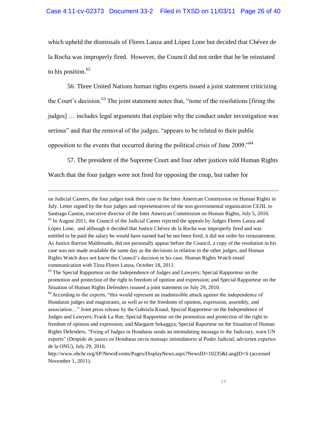which upheld the dismissals of Flores Lanza and López Lone but decided that Chévez de la Rocha was improperly fired. However, the Council did not order that he be reinstated to his position. $62$ 

56. Three United Nations human rights experts issued a joint statement criticizing the Court's decision.<sup>63</sup> The joint statement notes that, "none of the resolutions [firing the judges] … includes legal arguments that explain why the conduct under investigation was serious" and that the removal of the judges, "appears to be related to their public opposition to the events that occurred during the political crisis of June 2009.<sup> $64$ </sup>

57. The president of the Supreme Court and four other justices told Human Rights Watch that the four judges were not fired for opposing the coup, but rather for

Ļ

on Judicial Careers, the four judges took their case to the Inter American Commission on Human Rights in July. Letter signed by the four judges and representatives of the non governmental organization CEJIL to Santiago Canton, executive director of the Inter American Commission on Human Rights, July 5, 2010.  $62$  In August 2011, the Council of the Judicial Career rejected the appeals by Judges Flores Lanza and López Lone, and although it decided that Justice Chévez de la Rocha was improperly fired and was entitled to be paid the salary he would have earned had be not been fired, it did not order his reinstatement. As Justice Barrios Maldonado, did not personally appear before the Council, a copy of the resolution in his case was not made available the same day as the decisions in relation to the other judges, and Human Rights Watch does not know the Council's decision in his case. Human Rights Watch email communication with Tirza Flores Lanza, October 18, 2011.

 $63$  The Special Rapporteur on the Independence of Judges and Lawyers; Special Rapporteur on the promotion and protection of the right to freedom of opinion and expression; and Special Rapporteur on the Situation of Human Rights Defenders issused a joint statement on July 29, 2010.

 $64$  According to the experts, "this would represent an inadmissible attack against the independence of Honduran judges and magistrates, as well as to the freedoms of opinion, expression, assembly, and association…‖ Joint press release by the Gabriela Knaul, Special Rapporteur on the Independence of Judges and Lawyers; Frank La Rue, Special Rapporteur on the promotion and protection of the right to freedom of opinion and expression; and Margaret Sekaggya, Special Raporteur on the Situation of Human Rights Defenders, "Firing of Judges in Honduras sends an intimidating message to the Judiciary, warn UN experts" (Despido de jueces en Honduras envía mensaje intimidatorio al Poder Judicial, advierten expertos de la ONU), July 29, 2010,

http://www.ohchr.org/SP/NewsEvents/Pages/DisplayNews.aspx?NewsID=10235&LangID=S (accessed November 1, 2011).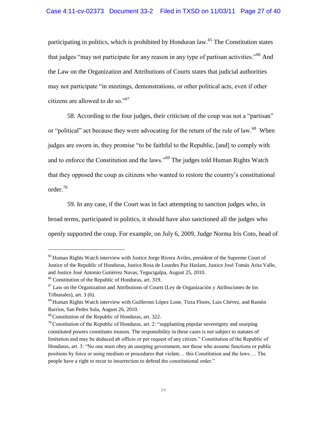participating in politics, which is prohibited by Honduran law.<sup>65</sup> The Constitution states that judges "may not participate for any reason in any type of partisan activities."<sup>66</sup> And the Law on the Organization and Attributions of Courts states that judicial authorities may not participate "in meetings, demonstrations, or other political acts, even if other citizens are allowed to do so." $67$ 

58. According to the four judges, their criticism of the coup was not a "partisan" or "political" act because they were advocating for the return of the rule of law.<sup>68</sup> When judges are sworn in, they promise "to be faithful to the Republic, [and] to comply with and to enforce the Constitution and the laws."<sup>69</sup> The judges told Human Rights Watch that they opposed the coup as citizens who wanted to restore the country's constitutional order.<sup>70</sup>

59. In any case, if the Court was in fact attempting to sanction judges who, in broad terms, participated in politics, it should have also sanctioned all the judges who openly supported the coup. For example, on July 6, 2009, Judge Norma Iris Coto, head of

 $<sup>65</sup>$  Human Rights Watch interview with Justice Jorge Rivera Aviles, president of the Supreme Court of</sup> Justice of the Republic of Honduras, Justice Rosa de Lourdes Paz Haslam, Justice José Tomás Arita Valle, and Justice José Antonio Gutiérrez Navas, Tegucigalpa, August 25, 2010.

<sup>66</sup> Constitution of the Republic of Honduras, art. 319.

 $<sup>67</sup>$  Law on the Organization and Attributions of Courts (Ley de Organización y Atribuciones de los</sup> Tribunales), art. 3 (6).

<sup>68</sup> Human Rights Watch interview with Guillermo López Lone, Tirza Flores, Luis Chévez, and Ramón Barrios, San Pedro Sula, August 26, 2010.

 $69$  Constitution of the Republic of Honduras, art. 322.

 $70$  Constitution of the Republic of Honduras, art. 2: "supplanting popular sovereignty and usurping constituted powers constitutes treason. The responsibility in these cases is not subject to statutes of limitation and may be deduced ab officio or per request of any citizen." Constitution of the Republic of Honduras, art. 3: "No one must obey an usurping government, nor those who assume functions or public positions by force or using medium or procedures that violate… this Constitution and the laws…. The people have a right to recur to insurrection to defend the constitutional order."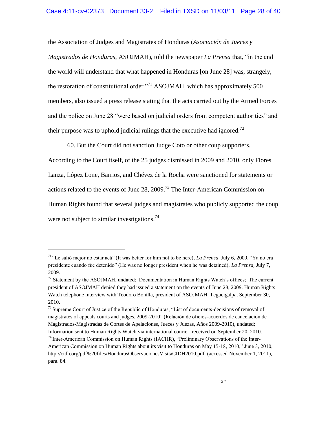the Association of Judges and Magistrates of Honduras (*Asociación de Jueces y Magistrados de Honduras, ASOJMAH), told the newspaper <i>La Prensa that,* "in the end the world will understand that what happened in Honduras [on June 28] was, strangely, the restoration of constitutional order."<sup>71</sup> ASOJMAH, which has approximately 500 members, also issued a press release stating that the acts carried out by the Armed Forces and the police on June 28 "were based on judicial orders from competent authorities" and their purpose was to uphold judicial rulings that the executive had ignored.<sup>72</sup>

60. But the Court did not sanction Judge Coto or other coup supporters. According to the Court itself, of the 25 judges dismissed in 2009 and 2010, only Flores Lanza, López Lone, Barrios, and Chévez de la Rocha were sanctioned for statements or actions related to the events of June 28, 2009.<sup>73</sup> The Inter-American Commission on Human Rights found that several judges and magistrates who publicly supported the coup were not subject to similar investigations.<sup>74</sup>

<sup>&</sup>lt;sup>71</sup> "Le salió mejor no estar acá" (It was better for him not to be here), *La Prensa*, July 6, 2009. "Ya no era presidente cuando fue detenido‖ (He was no longer president when he was detained), *La Prensa*, July 7, 2009.

 $72$  Statement by the ASOJMAH, undated; Documentation in Human Rights Watch's offices; The current president of ASOJMAH denied they had issued a statement on the events of June 28, 2009. Human Rights Watch telephone interview with Teodoro Bonilla, president of ASOJMAH, Tegucigalpa, September 30, 2010.

 $^{73}$  Supreme Court of Justice of the Republic of Honduras, "List of documents-decisions of removal of magistrates of appeals courts and judges, 2009-2010‖ (Relación de oficios-acuerdos de cancelación de Magistrados-Magistradas de Cortes de Apelaciones, Jueces y Juezas, Años 2009-2010), undated; Information sent to Human Rights Watch via international courier, received on September 20, 2010.  $74$  Inter-American Commission on Human Rights (IACHR), "Preliminary Observations of the Inter-

American Commission on Human Rights about its visit to Honduras on May 15-18, 2010," June 3, 2010, http://cidh.org/pdf%20files/HondurasObservacionesVisitaCIDH2010.pdf (accessed November 1, 2011), para. 84.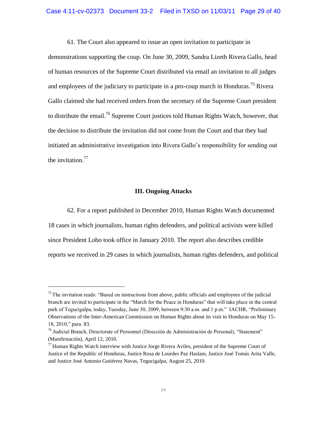61. The Court also appeared to issue an open invitation to participate in

demonstrations supporting the coup. On June 30, 2009, Sandra Lizeth Rivera Gallo, head of human resources of the Supreme Court distributed via email an invitation to all judges and employees of the judiciary to participate in a pro-coup march in Honduras.<sup>75</sup> Rivera Gallo claimed she had received orders from the secretary of the Supreme Court president to distribute the email.<sup>76</sup> Supreme Court justices told Human Rights Watch, however, that the decision to distribute the invitation did not come from the Court and that they had initiated an administrative investigation into Rivera Gallo's responsibility for sending out the invitation. $77$ 

#### **III. Ongoing Attacks**

62. For a report published in December 2010, Human Rights Watch documented 18 cases in which journalists, human rights defenders, and political activists were killed since President Lobo took office in January 2010. The report also describes credible reports we received in 29 cases in which journalists, human rights defenders, and political

 $<sup>75</sup>$  The invitation reads: "Based on instructions from above, public officials and employees of the judicial</sup> branch are invited to participate in the "March for the Peace in Honduras" that will take place in the central park of Tegucigalpa, today, Tuesday, June 30, 2009, between 9:30 a.m. and 1 p.m." IACHR, "Preliminary Observations of the Inter-American Commission on Human Rights about its visit to Honduras on May 15- 18, 2010," para. 83.

<sup>&</sup>lt;sup>76</sup> Judicial Branch, Directorate of Personnel (Dirección de Administración de Personal), "Statement" (Manifestación), April 12, 2010.

 $^{77}$  Human Rights Watch interview with Justice Jorge Rivera Aviles, president of the Supreme Court of Justice of the Republic of Honduras, Justice Rosa de Lourdes Paz Haslam, Justice José Tomás Arita Valle, and Justice José Antonio Gutiérrez Navas, Tegucigalpa, August 25, 2010.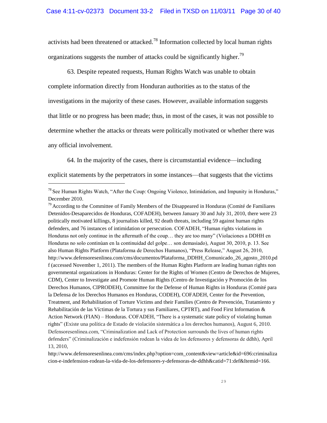activists had been threatened or attacked.<sup>78</sup> Information collected by local human rights organizations suggests the number of attacks could be significantly higher.<sup>79</sup>

63. Despite repeated requests, Human Rights Watch was unable to obtain complete information directly from Honduran authorities as to the status of the investigations in the majority of these cases. However, available information suggests that little or no progress has been made; thus, in most of the cases, it was not possible to determine whether the attacks or threats were politically motivated or whether there was any official involvement.

64. In the majority of the cases, there is circumstantial evidence—including

explicit statements by the perpetrators in some instances—that suggests that the victims

 $78$  See Human Rights Watch, "After the Coup: Ongoing Violence, Intimidation, and Impunity in Honduras," December 2010.

 $79$  According to the Committee of Family Members of the Disappeared in Honduras (Comité de Familiares Detenidos-Desaparecidos de Honduras, COFADEH), between January 30 and July 31, 2010, there were 23 politically motivated killings, 8 journalists killed, 92 death threats, including 59 against human rights defenders, and 76 instances of intimidation or persecution. COFADEH, "Human rights violations in Honduras not only continue in the aftermath of the coup... they are too many" (Violaciones a DDHH en Honduras no solo continúan en la continuidad del golpe… son demasiado), August 30, 2010, p. 13. See also Human Rights Platform (Plataforma de Derechos Humanos), "Press Release," August 26, 2010, [http://www.defensoresenlinea.com/cms/documentos/Plataforma\\_DDHH\\_Comunicado\\_26\\_agosto\\_2010.pd](www.defensoresenlinea.com/cms/documentos/Plataforma_DDHH_Comunicado_26_agosto_2010.pdf) [f](www.defensoresenlinea.com/cms/documentos/Plataforma_DDHH_Comunicado_26_agosto_2010.pdf) (accessed November 1, 2011). The members of the Human Rights Platform are leading human rights non governmental organizations in Honduras: Center for the Rights of Women (Centro de Derechos de Mujeres, CDM), Center to Investigate and Promote Human Rights (Centro de Investigación y Promoción de los Derechos Humanos, CIPRODEH), Committee for the Defense of Human Rights in Honduras (Comité para la Defensa de los Derechos Humanos en Honduras, CODEH), COFADEH, Center for the Prevention, Treatment, and Rehabilitation of Torture Victims and their Families (Centro de Prevención, Tratamiento y Rehabilitación de las Víctimas de la Tortura y sus Familiares, CPTRT), and Food First Information  $\&$ Action Network (FIAN) – Honduras. COFADEH, "There is a systematic state policy of violating human rights" (Existe una política de Estado de violación sistemática a los derechos humanos), August 6, 2010. Defensoresenlinea.com, "Criminalization and Lack of Protection surrounds the lives of human rights defenders‖ (Criminalización e indefensión rodean la videa de los defensores y defensoras de ddhh), April 13, 2010,

http://www.defensoresenlinea.com/cms/index.php?option=com\_content&view=article&id=696:criminaliza cion-e-indefension-rodean-la-vida-de-los-defensores-y-defensoras-de-ddhh&catid=71:def&Itemid=166.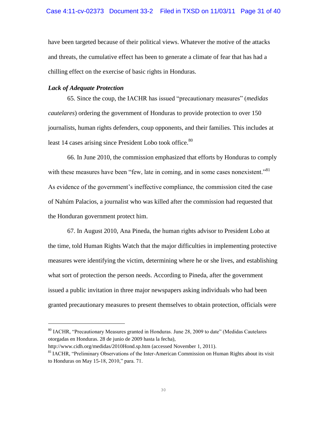have been targeted because of their political views. Whatever the motive of the attacks and threats, the cumulative effect has been to generate a climate of fear that has had a chilling effect on the exercise of basic rights in Honduras.

# *Lack of Adequate Protection*

L,

65. Since the coup, the IACHR has issued "precautionary measures" (*medidas cautelares*) ordering the government of Honduras to provide protection to over 150 journalists, human rights defenders, coup opponents, and their families. This includes at least 14 cases arising since President Lobo took office.<sup>80</sup>

66. In June 2010, the commission emphasized that efforts by Honduras to comply with these measures have been "few, late in coming, and in some cases nonexistent." As evidence of the government's ineffective compliance, the commission cited the case of Nahúm Palacios, a journalist who was killed after the commission had requested that the Honduran government protect him.

67. In August 2010, Ana Pineda, the human rights advisor to President Lobo at the time, told Human Rights Watch that the major difficulties in implementing protective measures were identifying the victim, determining where he or she lives, and establishing what sort of protection the person needs. According to Pineda, after the government issued a public invitation in three major newspapers asking individuals who had been granted precautionary measures to present themselves to obtain protection, officials were

<sup>&</sup>lt;sup>80</sup> IACHR, "Precautionary Measures granted in Honduras. June 28, 2009 to date" (Medidas Cautelares otorgadas en Honduras. 28 de junio de 2009 hasta la fecha),

<http://www.cidh.org/medidas/2010Hond.sp.htm> (accessed November 1, 2011).

 $81$  IACHR, "Preliminary Observations of the Inter-American Commission on Human Rights about its visit to Honduras on May  $15-18$ ,  $2010$ ," para. 71.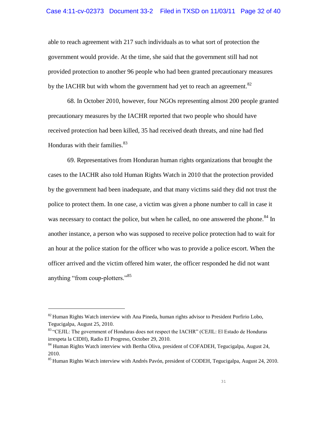#### Case 4:11-cv-02373 Document 33-2 Filed in TXSD on 11/03/11 Page 32 of 40

able to reach agreement with 217 such individuals as to what sort of protection the government would provide. At the time, she said that the government still had not provided protection to another 96 people who had been granted precautionary measures by the IACHR but with whom the government had yet to reach an agreement.<sup>82</sup>

68. In October 2010, however, four NGOs representing almost 200 people granted precautionary measures by the IACHR reported that two people who should have received protection had been killed, 35 had received death threats, and nine had fled Honduras with their families. $83$ 

69. Representatives from Honduran human rights organizations that brought the cases to the IACHR also told Human Rights Watch in 2010 that the protection provided by the government had been inadequate, and that many victims said they did not trust the police to protect them. In one case, a victim was given a phone number to call in case it was necessary to contact the police, but when he called, no one answered the phone.<sup>84</sup> In another instance, a person who was supposed to receive police protection had to wait for an hour at the police station for the officer who was to provide a police escort. When the officer arrived and the victim offered him water, the officer responded he did not want anything "from coup-plotters."<sup>85</sup>

 $82$  Human Rights Watch interview with Ana Pineda, human rights advisor to President Porfirio Lobo, Tegucigalpa, August 25, 2010.

 $83$  "CEJIL: The government of Honduras does not respect the IACHR" (CEJIL: El Estado de Honduras irrespeta la CIDH), Radio El Progreso, October 29, 2010.

<sup>&</sup>lt;sup>84</sup> Human Rights Watch interview with Bertha Oliva, president of COFADEH, Tegucigalpa, August 24, 2010.

<sup>&</sup>lt;sup>85</sup> Human Rights Watch interview with Andrés Pavón, president of CODEH, Tegucigalpa, August 24, 2010.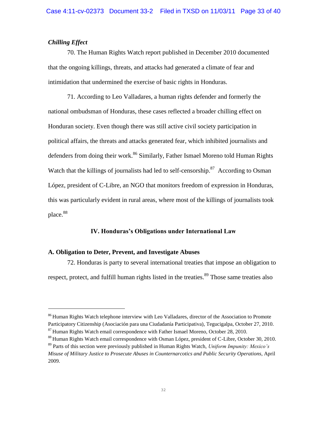# *Chilling Effect*

Ļ

70. The Human Rights Watch report published in December 2010 documented that the ongoing killings, threats, and attacks had generated a climate of fear and intimidation that undermined the exercise of basic rights in Honduras.

71. According to Leo Valladares, a human rights defender and formerly the national ombudsman of Honduras, these cases reflected a broader chilling effect on Honduran society. Even though there was still active civil society participation in political affairs, the threats and attacks generated fear, which inhibited journalists and defenders from doing their work.<sup>86</sup> Similarly, Father Ismael Moreno told Human Rights Watch that the killings of journalists had led to self-censorship.<sup>87</sup> According to Osman López, president of C-Libre, an NGO that monitors freedom of expression in Honduras, this was particularly evident in rural areas, where most of the killings of journalists took place.<sup>88</sup>

# **IV. Honduras's Obligations under International Law**

# **A. Obligation to Deter, Prevent, and Investigate Abuses**

72. Honduras is party to several international treaties that impose an obligation to respect, protect, and fulfill human rights listed in the treaties.<sup>89</sup> Those same treaties also

<sup>&</sup>lt;sup>86</sup> Human Rights Watch telephone interview with Leo Valladares, director of the Association to Promote Participatory Citizenship (Asociación para una Ciudadanía Participativa), Tegucigalpa, October 27, 2010. <sup>87</sup> Human Rights Watch email correspondence with Father Ismael Moreno, October 28, 2010.

<sup>&</sup>lt;sup>88</sup> Human Rights Watch email correspondence with Osman López, president of C-Libre, October 30, 2010.

<sup>89</sup> Parts of this section were previously published in Human Rights Watch, *Uniform Impunity: Mexico's Misuse of Military Justice to Prosecute Abuses in Counternarcotics and Public Security Operations*, April 2009.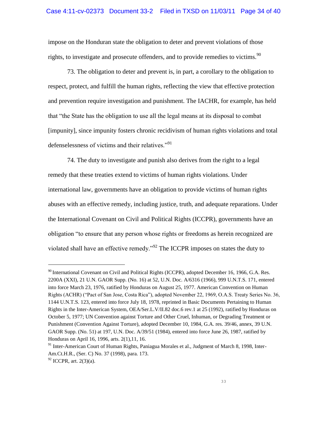impose on the Honduran state the obligation to deter and prevent violations of those rights, to investigate and prosecute offenders, and to provide remedies to victims.<sup>90</sup>

73. The obligation to deter and prevent is, in part, a corollary to the obligation to respect, protect, and fulfill the human rights, reflecting the view that effective protection and prevention require investigation and punishment. The IACHR, for example, has held that "the State has the obligation to use all the legal means at its disposal to combat [impunity], since impunity fosters chronic recidivism of human rights violations and total defenselessness of victims and their relatives. $^{91}$ 

74. The duty to investigate and punish also derives from the right to a legal remedy that these treaties extend to victims of human rights violations. Under international law, governments have an obligation to provide victims of human rights abuses with an effective remedy, including justice, truth, and adequate reparations. Under the International Covenant on Civil and Political Rights (ICCPR), governments have an obligation "to ensure that any person whose rights or freedoms as herein recognized are violated shall have an effective remedy.<sup>92</sup> The ICCPR imposes on states the duty to

<sup>&</sup>lt;sup>90</sup> International Covenant on Civil and Political Rights (ICCPR), adopted December 16, 1966, G.A. Res. 2200A (XXI), 21 U.N. GAOR Supp. (No. 16) at 52, U.N. Doc. A/6316 (1966), 999 U.N.T.S. 171, entered into force March 23, 1976, ratified by Honduras on August 25, 1977. American Convention on Human Rights (ACHR) ("Pact of San Jose, Costa Rica"), adopted November 22, 1969, O.A.S. Treaty Series No. 36, 1144 U.N.T.S. 123, entered into force July 18, 1978, reprinted in Basic Documents Pertaining to Human Rights in the Inter-American System, OEA/Ser.L.V/II.82 doc.6 rev.1 at 25 (1992), ratified by Honduras on October 5, 1977; UN Convention against Torture and Other Cruel, Inhuman, or Degrading Treatment or Punishment (Convention Against Torture), adopted December 10, 1984, G.A. res. 39/46, annex, 39 U.N. GAOR Supp. (No. 51) at 197, U.N. Doc. A/39/51 (1984), entered into force June 26, 1987, ratified by Honduras on April 16, 1996, arts. 2(1),11, 16.

<sup>&</sup>lt;sup>91</sup> Inter-American Court of Human Rights, Paniagua Morales et al., Judgment of March 8, 1998, Inter-Am.Ct.H.R., (Ser. C) No. 37 (1998), para. 173.

 $92$  ICCPR, art. 2(3)(a).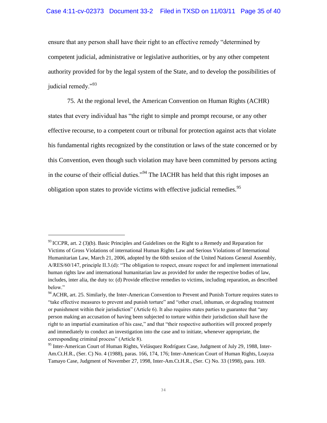#### Case 4:11-cv-02373 Document 33-2 Filed in TXSD on 11/03/11 Page 35 of 40

ensure that any person shall have their right to an effective remedy "determined by competent judicial, administrative or legislative authorities, or by any other competent authority provided for by the legal system of the State, and to develop the possibilities of judicial remedy."<sup>93</sup>

75. At the regional level, the American Convention on Human Rights (ACHR) states that every individual has "the right to simple and prompt recourse, or any other effective recourse, to a competent court or tribunal for protection against acts that violate his fundamental rights recognized by the constitution or laws of the state concerned or by this Convention, even though such violation may have been committed by persons acting in the course of their official duties."<sup>94</sup> The IACHR has held that this right imposes an obligation upon states to provide victims with effective judicial remedies.<sup>95</sup>

 $93$  ICCPR, art. 2 (3)(b). Basic Principles and Guidelines on the Right to a Remedy and Reparation for Victims of Gross Violations of international Human Rights Law and Serious Violations of International Humanitarian Law, March 21, 2006, adopted by the 60th session of the United Nations General Assembly,  $A/RES/60/147$ , principle II.3.(d): "The obligation to respect, ensure respect for and implement international human rights law and international humanitarian law as provided for under the respective bodies of law, includes, inter alia, the duty to: (d) Provide effective remedies to victims, including reparation, as described below."

<sup>&</sup>lt;sup>94</sup> ACHR, art. 25. Similarly, the Inter-American Convention to Prevent and Punish Torture requires states to "take effective measures to prevent and punish torture" and "other cruel, inhuman, or degrading treatment or punishment within their jurisdiction" (Article 6). It also requires states parties to guarantee that "any person making an accusation of having been subjected to torture within their jurisdiction shall have the right to an impartial examination of his case," and that "their respective authorities will proceed properly and immediately to conduct an investigation into the case and to initiate, whenever appropriate, the corresponding criminal process" (Article 8).

<sup>&</sup>lt;sup>95</sup> Inter-American Court of Human Rights, Velásquez Rodríguez Case, Judgment of July 29, 1988, Inter-Am.Ct.H.R., (Ser. C) No. 4 (1988), paras. 166, 174, 176; Inter-American Court of Human Rights, Loayza Tamayo Case, Judgment of November 27, 1998, Inter-Am.Ct.H.R., (Ser. C) No. 33 (1998), para. 169.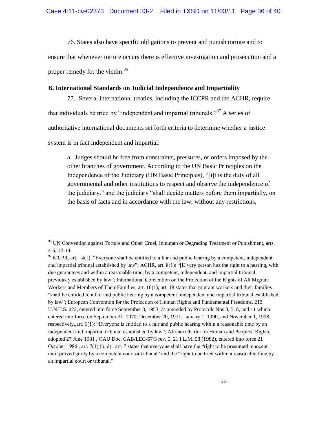76. States also have specific obligations to prevent and punish torture and to

ensure that whenever torture occurs there is effective investigation and prosecution and a proper remedy for the victim.<sup>96</sup>

## **B. International Standards on Judicial Independence and Impartiality**

77. Several international treaties, including the ICCPR and the ACHR, require that individuals be tried by "independent and impartial tribunals."<sup>97</sup> A series of authoritative international documents set forth criteria to determine whether a justice system is in fact independent and impartial:

a. Judges should be free from constraints, pressures, or orders imposed by the other branches of government. According to the UN Basic Principles on the Independence of the Judiciary (UN Basic Principles), "[i]t is the duty of all governmental and other institutions to respect and observe the independence of the judiciary," and the judiciary "shall decide matters before them impartially, on the basis of facts and in accordance with the law, without any restrictions,

<sup>&</sup>lt;sup>96</sup> UN Convention against Torture and Other Cruel, Inhuman or Degrading Treatment or Punishment, arts. 4-6, 12-14.

 $97$  ICCPR, art. 14(1): "Everyone shall be entitled to a fair and public hearing by a competent, independent and impartial tribunal established by law"; ACHR, art.  $8(1)$ : "[E]very person has the right to a hearing, with due guarantees and within a reasonable time, by a competent, independent, and impartial tribunal, previously established by law‖; International Convention on the Protection of the Rights of All Migrant Workers and Members of Their Families, art. 18(1); art. 18 states that migrant workers and their families ―shall be entitled to a fair and public hearing by a competent, independent and impartial tribunal established by law"; European Convention for the Protection of Human Rights and Fundamental Freedoms, 213 U.N.T.S. 222, entered into force September 3, 1953, as amended by Protocols Nos 3, 5, 8, and 11 which entered into force on September 21, 1970, December 20, 1971, January 1, 1990, and November 1, 1998, respectively., art.  $6(1)$ : "Everyone is entitled to a fair and public hearing within a reasonable time by an independent and impartial tribunal established by law"; African Charter on Human and Peoples' Rights, adopted 27 June 1981 , OAU Doc. CAB/LEG/67/3 rev. 5, 21 I.L.M. 58 (1982), entered into force 21 October 1986, art.  $7(1)$  (b, d), art. 7 states that everyone shall have the "right to be presumed innocent until proved guilty by a competent court or tribunal" and the "right to be tried within a reasonable time by an impartial court or tribunal."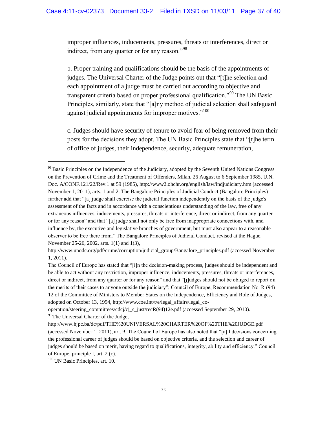improper influences, inducements, pressures, threats or interferences, direct or indirect, from any quarter or for any reason."<sup>98</sup>

b. Proper training and qualifications should be the basis of the appointments of judges. The Universal Charter of the Judge points out that "[t]he selection and each appointment of a judge must be carried out according to objective and transparent criteria based on proper professional qualification."<sup>99</sup> The UN Basic Principles, similarly, state that "[a]ny method of judicial selection shall safeguard against judicial appointments for improper motives."<sup>100</sup>

c. Judges should have security of tenure to avoid fear of being removed from their posts for the decisions they adopt. The UN Basic Principles state that "[t]he term of office of judges, their independence, security, adequate remuneration,

<sup>&</sup>lt;sup>98</sup> Basic Principles on the Independence of the Judiciary, adopted by the Seventh United Nations Congress on the Prevention of Crime and the Treatment of Offenders, Milan, 26 August to 6 September 1985, U.N. Doc. A/CONF.121/22/Rev.1 at 59 (1985), http://www2.ohchr.org/english/law/indjudiciary.htm (accessed November 1, 2011), arts. 1 and 2. The Bangalore Principles of Judicial Conduct (Bangalore Principles) further add that "[a] judge shall exercise the judicial function independently on the basis of the judge's assessment of the facts and in accordance with a conscientious understanding of the law, free of any extraneous influences, inducements, pressures, threats or interference, direct or indirect, from any quarter or for any reason" and that "[a] judge shall not only be free from inappropriate connections with, and influence by, the executive and legislative branches of government, but must also appear to a reasonable observer to be free there from." The Bangalore Principles of Judicial Conduct, revised at the Hague, November 25-26, 2002, arts. 1(1) and 1(3),

http://www.unodc.org/pdf/crime/corruption/judicial\_group/Bangalore\_principles.pdf (accessed November 1, 2011).

The Council of Europe has stated that "[i]n the decision-making process, judges should be independent and be able to act without any restriction, improper influence, inducements, pressures, threats or interferences, direct or indirect, from any quarter or for any reason" and that "[j]udges should not be obliged to report on the merits of their cases to anyone outside the judiciary"; Council of Europe, Recommendation No. R (94) 12 of the Committee of Ministers to Member States on the Independence, Efficiency and Role of Judges, adopted on October 13, 1994, http://www.coe.int/t/e/legal\_affairs/legal\_co-

operation/steering\_committees/cdcj/cj\_s\_just/recR(94)12e.pdf (accessed September 29, 2010). <sup>99</sup> The Universal Charter of the Judge,

http://www.hjpc.ba/dc/pdf/THE%20UNIVERSAL%20CHARTER%20OF%20THE%20JUDGE.pdf (accessed November 1, 2011), art. 9. The Council of Europe has also noted that "[a]ll decisions concerning the professional career of judges should be based on objective criteria, and the selection and career of judges should be based on merit, having regard to qualifications, integrity, ability and efficiency." Council of Europe, principle I, art. 2 (c).

<sup>&</sup>lt;sup>100</sup> UN Basic Principles, art. 10.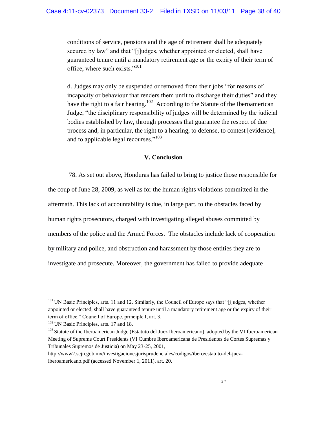conditions of service, pensions and the age of retirement shall be adequately secured by law" and that "[j]udges, whether appointed or elected, shall have guaranteed tenure until a mandatory retirement age or the expiry of their term of office, where such exists."<sup>101</sup>

d. Judges may only be suspended or removed from their jobs "for reasons of incapacity or behaviour that renders them unfit to discharge their duties" and they have the right to a fair hearing.<sup>102</sup> According to the Statute of the Iberoamerican Judge, "the disciplinary responsibility of judges will be determined by the judicial bodies established by law, through processes that guarantee the respect of due process and, in particular, the right to a hearing, to defense, to contest [evidence], and to applicable legal recourses. $103$ 

#### **V. Conclusion**

78. As set out above, Honduras has failed to bring to justice those responsible for the coup of June 28, 2009, as well as for the human rights violations committed in the aftermath. This lack of accountability is due, in large part, to the obstacles faced by human rights prosecutors, charged with investigating alleged abuses committed by members of the police and the Armed Forces. The obstacles include lack of cooperation by military and police, and obstruction and harassment by those entities they are to investigate and prosecute. Moreover, the government has failed to provide adequate

<sup>&</sup>lt;sup>101</sup> UN Basic Principles, arts. 11 and 12. Similarly, the Council of Europe says that "[j]udges, whether appointed or elected, shall have guaranteed tenure until a mandatory retirement age or the expiry of their term of office." Council of Europe, principle I, art. 3.

<sup>&</sup>lt;sup>102</sup> UN Basic Principles, arts. 17 and 18.

<sup>&</sup>lt;sup>103</sup> Statute of the Iberoamerican Judge (Estatuto del Juez Iberoamericano), adopted by the VI Iberoamerican Meeting of Supreme Court Presidents (VI Cumbre Iberoamericana de Presidentes de Cortes Supremas y Tribunales Supremos de Justicia) on May 23-25, 2001,

http://www2.scjn.gob.mx/investigacionesjurisprudenciales/codigos/ibero/estatuto-del-jueziberoamericano.pdf (accessed November 1, 2011), art. 20.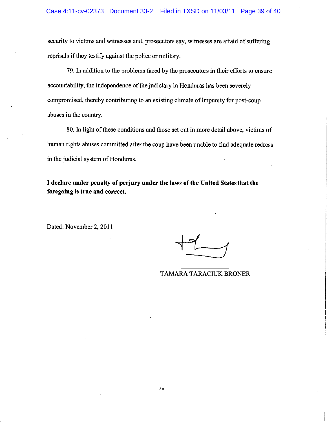security to victims and witnesses and, prosecutors say, witnesses are afraid of suffering reprisals if they testify against the police or military.

79. In addition to the problems faced by the prosecutors in their efforts to ensure accountability, the independence of the judiciary in Honduras has been severely compromised, thereby contributing to an existing climate of impunity for post-coup abuses in the country.

80. In light of these conditions and those set out in more detail above, victims of human rights abuses committed after the coup have been unable to find adequate redress in the judicial system of Honduras.

I declare under penalty of perjury under the laws of the United States that the foregoing is true and correct.

Dated: November 2, 2011

# **TAMARA TARACIUK BRONER**